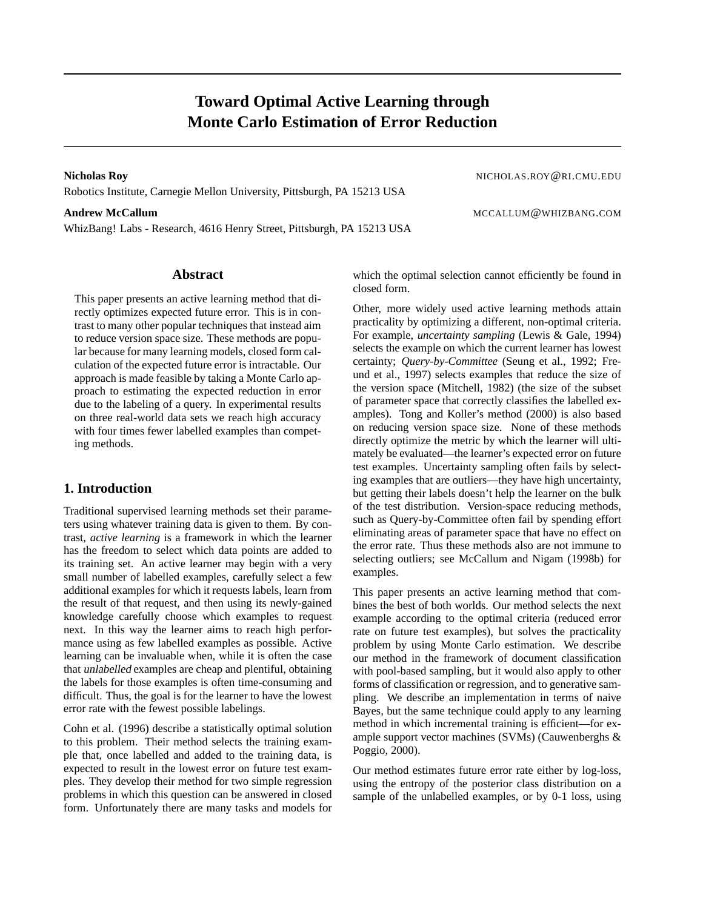# **Toward Optimal Active Learning through Monte Carlo Estimation of Error Reduction**

**Nicholas Roy** NICHOLAS.ROY@RI.CMU.EDU Robotics Institute, Carnegie Mellon University, Pittsburgh, PA 15213 USA

### **Andrew McCallum** McCallum McCallum and the settlement of the settlement of the MCCALLUM @WHIZBANG.COM

WhizBang! Labs - Research, 4616 Henry Street, Pittsburgh, PA 15213 USA

# **Abstract**

This paper presents an active learning method that directly optimizes expected future error. This is in contrast to many other popular techniques that instead aim to reduce version space size. These methods are popular because for many learning models, closed form calculation of the expected future error is intractable. Our approach is made feasible by taking a Monte Carlo approach to estimating the expected reduction in error due to the labeling of a query. In experimental results on three real-world data sets we reach high accuracy with four times fewer labelled examples than competing methods.

# **1. Introduction**

Traditional supervised learning methods set their parameters using whatever training data is given to them. By contrast, *active learning* is a framework in which the learner has the freedom to select which data points are added to its training set. An active learner may begin with a very small number of labelled examples, carefully select a few additional examples for which it requests labels, learn from the result of that request, and then using its newly-gained knowledge carefully choose which examples to request next. In this way the learner aims to reach high performance using as few labelled examples as possible. Active learning can be invaluable when, while it is often the case that unlabelled examples are cheap and plentiful, obtaining the labels for those examples is often time-consuming and difficult. Thus, the goal is for the learner to have the lowest error rate with the fewest possible labelings.

Cohn et al. (1996) describe a statistically optimal solution to this problem. Their method selects the training example that, once labelled and added to the training data, is expected to result in the lowest error on future test examples. They develop their method for two simple regression problems in which this question can be answered in closed form. Unfortunately there are many tasks and models for which the optimal selection cannot efficiently be found in closed form.

Other, more widely used active learning methods attain practicality by optimizing a different, non-optimal criteria. For example, *uncertainty sampling* (Lewis & Gale, 1994) selects the example on which the current learner has lowest certainty; *Query-by-Committee* (Seung et al., 1992; Freund et al., 1997) selects examples that reduce the size of the version space (Mitchell, 1982) (the size of the subset of parameter space that correctly classifies the labelled examples). Tong and Koller's method (2000) is also based on reducing version space size. None of these methods directly optimize the metric by which the learner will ultimately be evaluated—the learner's expected error on future test examples. Uncertainty sampling often fails by selecting examples that are outliers—they have high uncertainty, but getting their labels doesn't help the learner on the bulk of the test distribution. Version-space reducing methods, such as Query-by-Committee often fail by spending effort eliminating areas of parameter space that have no effect on the error rate. Thus these methods also are not immune to selecting outliers; see McCallum and Nigam (1998b) for examples.

This paper presents an active learning method that combines the best of both worlds. Our method selects the next example according to the optimal criteria (reduced error rate on future test examples), but solves the practicality problem by using Monte Carlo estimation. We describe our method in the framework of document classification with pool-based sampling, but it would also apply to other forms of classification or regression, and to generative sampling. We describe an implementation in terms of naive Bayes, but the same technique could apply to any learning method in which incremental training is efficient—for example support vector machines (SVMs) (Cauwenberghs & Poggio, 2000).

Our method estimates future error rate either by log-loss, using the entropy of the posterior class distribution on a sample of the unlabelled examples, or by 0-1 loss, using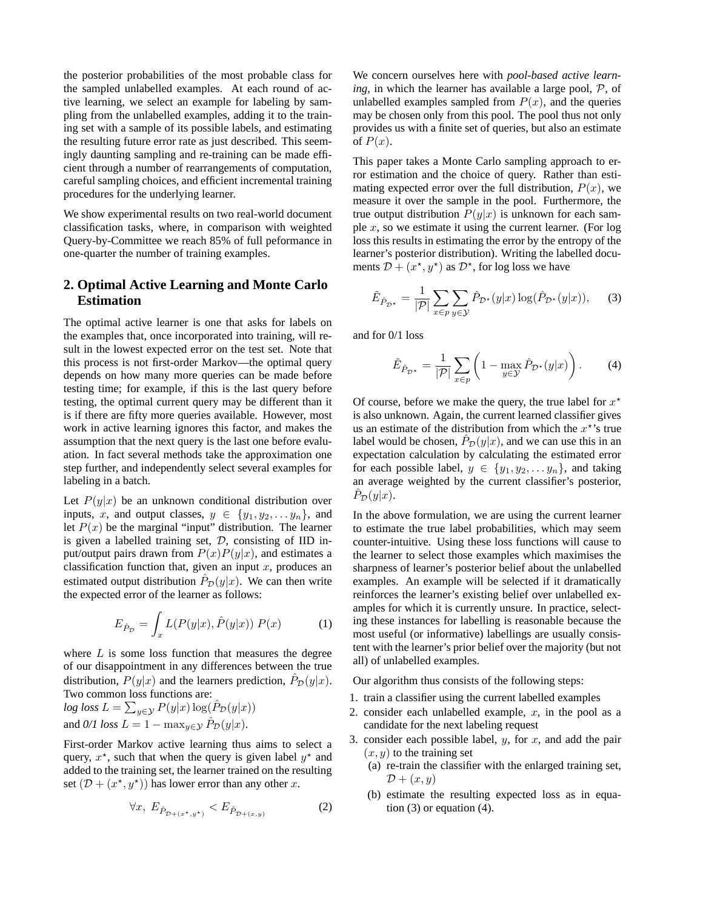the posterior probabilities of the most probable class for the sampled unlabelled examples. At each round of active learning, we select an example for labeling by sampling from the unlabelled examples, adding it to the training set with a sample of its possible labels, and estimating the resulting future error rate as just described. This seemingly daunting sampling and re-training can be made efficient through a number of rearrangements of computation, careful sampling choices, and efficient incremental training procedures for the underlying learner.

We show experimental results on two real-world document classification tasks, where, in comparison with weighted Query-by-Committee we reach 85% of full peformance in one-quarter the number of training examples.

# **2. Optimal Active Learning and Monte Carlo Estimation**

The optimal active learner is one that asks for labels on the examples that, once incorporated into training, will result in the lowest expected error on the test set. Note that this process is not first-order Markov—the optimal query depends on how many more queries can be made before testing time; for example, if this is the last query before testing, the optimal current query may be different than it is if there are fifty more queries available. However, most work in active learning ignores this factor, and makes the assumption that the next query is the last one before evaluation. In fact several methods take the approximation one step further, and independently select several examples for labeling in a batch.

Let  $P(y|x)$  be an unknown conditional distribution over inputs, x, and output classes,  $y \in \{y_1, y_2, \ldots, y_n\}$ , and let  $P(x)$  be the marginal "input" distribution. The learner is given a labelled training set,  $D$ , consisting of IID input/output pairs drawn from  $P(x)P(y|x)$ , and estimates a classification function that, given an input  $x$ , produces an estimated output distribution  $\hat{P}_{\mathcal{D}}(y|x)$ . We can then write the expected error of the learner as follows:

$$
E_{\hat{P}_{\mathcal{D}}} = \int_x L(P(y|x), \hat{P}(y|x)) P(x) \tag{1}
$$

where  $L$  is some loss function that measures the degree of our disappointment in any differences between the true distribution,  $P(y|x)$  and the learners prediction,  $\hat{P}_{\mathcal{D}}(y|x)$ . Two common loss functions are:

$$
log loss L = \sum_{y \in \mathcal{Y}} P(y|x) \log(\hat{P}_{\mathcal{D}}(y|x))
$$
  
and 0/1 loss L = 1 - max<sub>y \in \mathcal{Y}} \hat{P}\_{\mathcal{D}}(y|x).</sub>

First-order Markov active learning thus aims to select a query,  $x^*$ , such that when the query is given label  $y^*$  and added to the training set, the learner trained on the resulting set  $(D + (x^*, y^*))$  has lower error than any other x.

$$
\forall x, \ E_{\hat{P}_{\mathcal{D}+(x^{\star},y^{\star})}} < E_{\hat{P}_{\mathcal{D}+(x,y)}} \tag{2}
$$

We concern ourselves here with *pool-based active learning*, in which the learner has available a large pool, P, of unlabelled examples sampled from  $P(x)$ , and the queries may be chosen only from this pool. The pool thus not only provides us with a finite set of queries, but also an estimate of  $P(x)$ .

This paper takes a Monte Carlo sampling approach to error estimation and the choice of query. Rather than estimating expected error over the full distribution,  $P(x)$ , we measure it over the sample in the pool. Furthermore, the true output distribution  $P(y|x)$  is unknown for each sample  $x$ , so we estimate it using the current learner. (For log loss this results in estimating the error by the entropy of the learner's posterior distribution). Writing the labelled documents  $\mathcal{D} + (x^*, y^*)$  as  $\mathcal{D}^*$ , for log loss we have

$$
\tilde{E}_{\hat{P}_{\mathcal{D}^*}} = \frac{1}{|\mathcal{P}|} \sum_{x \in p} \sum_{y \in \mathcal{Y}} \hat{P}_{\mathcal{D}^*}(y|x) \log(\hat{P}_{\mathcal{D}^*}(y|x)), \quad (3)
$$

and for 0/1 loss

$$
\tilde{E}_{\hat{P}_{\mathcal{D}^*}} = \frac{1}{|\mathcal{P}|} \sum_{x \in p} \left( 1 - \max_{y \in \mathcal{Y}} \hat{P}_{\mathcal{D}^*}(y|x) \right). \tag{4}
$$

Of course, before we make the query, the true label for  $x^*$ is also unknown. Again, the current learned classifier gives us an estimate of the distribution from which the  $x^*$ 's true label would be chosen,  $\hat{P}_{\mathcal{D}}(y|x)$ , and we can use this in an expectation calculation by calculating the estimated error for each possible label,  $y \in \{y_1, y_2, \ldots, y_n\}$ , and taking an average weighted by the current classifier's posterior,  $\tilde{P}_{\mathcal{D}}(y|x).$ 

In the above formulation, we are using the current learner to estimate the true label probabilities, which may seem counter-intuitive. Using these loss functions will cause to the learner to select those examples which maximises the sharpness of learner's posterior belief about the unlabelled examples. An example will be selected if it dramatically reinforces the learner's existing belief over unlabelled examples for which it is currently unsure. In practice, selecting these instances for labelling is reasonable because the most useful (or informative) labellings are usually consistent with the learner's prior belief over the majority (but not all) of unlabelled examples.

Our algorithm thus consists of the following steps:

- 1. train a classifier using the current labelled examples
- 2. consider each unlabelled example,  $x$ , in the pool as a candidate for the next labeling request
- 3. consider each possible label,  $y$ , for  $x$ , and add the pair  $(x, y)$  to the training set
	- (a) re-train the classifier with the enlarged training set,  $\mathcal{D} + (x, y)$
	- (b) estimate the resulting expected loss as in equation  $(3)$  or equation  $(4)$ .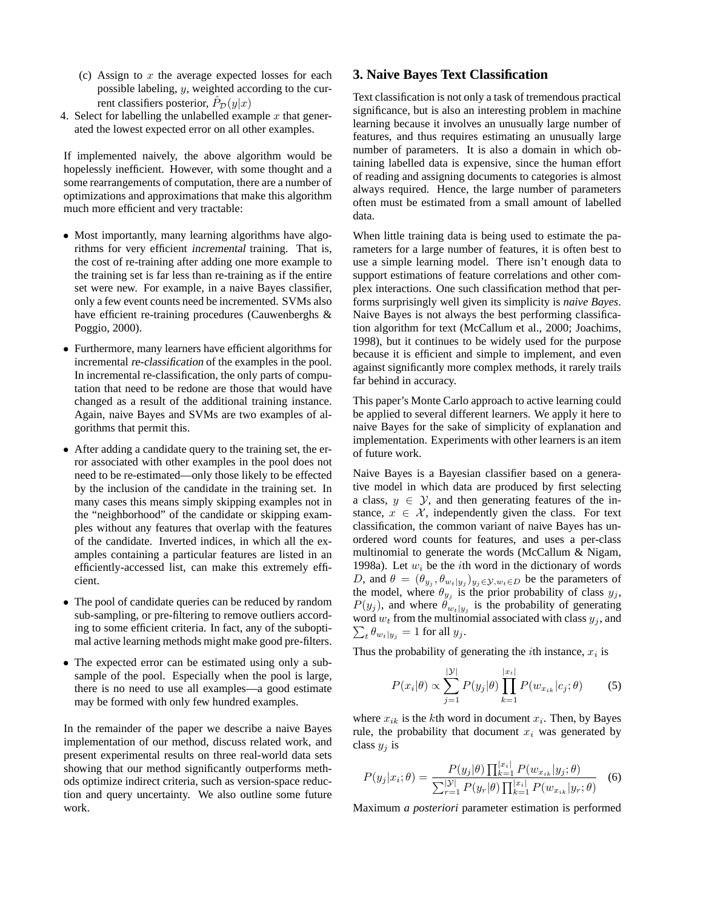- (c) Assign to  $x$  the average expected losses for each possible labeling, y, weighted according to the current classifiers posterior,  $\hat{P}_{\mathcal{D}}(y|x)$
- 4. Select for labelling the unlabelled example  $x$  that generated the lowest expected error on all other examples.

If implemented naively, the above algorithm would be hopelessly inefficient. However, with some thought and a some rearrangements of computation, there are a number of optimizations and approximations that make this algorithm much more efficient and very tractable:

- Most importantly, many learning algorithms have algorithms for very efficient incremental training. That is, the cost of re-training after adding one more example to the training set is far less than re-training as if the entire set were new. For example, in a naive Bayes classifier, only a few event counts need be incremented. SVMs also have efficient re-training procedures (Cauwenberghs & Poggio, 2000).
- Furthermore, many learners have efficient algorithms for incremental re-classification of the examples in the pool. In incremental re-classification, the only parts of computation that need to be redone are those that would have changed as a result of the additional training instance. Again, naive Bayes and SVMs are two examples of algorithms that permit this.
- After adding a candidate query to the training set, the error associated with other examples in the pool does not need to be re-estimated—only those likely to be effected by the inclusion of the candidate in the training set. In many cases this means simply skipping examples not in the "neighborhood" of the candidate or skipping examples without any features that overlap with the features of the candidate. Inverted indices, in which all the examples containing a particular features are listed in an efficiently-accessed list, can make this extremely efficient.
- The pool of candidate queries can be reduced by random sub-sampling, or pre-filtering to remove outliers according to some efficient criteria. In fact, any of the suboptimal active learning methods might make good pre-filters.
- The expected error can be estimated using only a subsample of the pool. Especially when the pool is large, there is no need to use all examples—a good estimate may be formed with only few hundred examples.

In the remainder of the paper we describe a naive Bayes implementation of our method, discuss related work, and present experimental results on three real-world data sets showing that our method significantly outperforms methods optimize indirect criteria, such as version-space reduction and query uncertainty. We also outline some future work.

### **3. Naive Bayes Text Classification**

Text classification is not only a task of tremendous practical significance, but is also an interesting problem in machine learning because it involves an unusually large number of features, and thus requires estimating an unusually large number of parameters. It is also a domain in which obtaining labelled data is expensive, since the human effort of reading and assigning documents to categories is almost always required. Hence, the large number of parameters often must be estimated from a small amount of labelled data.

When little training data is being used to estimate the parameters for a large number of features, it is often best to use a simple learning model. There isn't enough data to support estimations of feature correlations and other complex interactions. One such classification method that performs surprisingly well given its simplicity is *naive Bayes*. Naive Bayes is not always the best performing classification algorithm for text (McCallum et al., 2000; Joachims, 1998), but it continues to be widely used for the purpose because it is efficient and simple to implement, and even against significantly more complex methods, it rarely trails far behind in accuracy.

This paper's Monte Carlo approach to active learning could be applied to several different learners. We apply it here to naive Bayes for the sake of simplicity of explanation and implementation. Experiments with other learners is an item of future work.

Naive Bayes is a Bayesian classifier based on a generative model in which data are produced by first selecting a class,  $y \in \mathcal{Y}$ , and then generating features of the instance,  $x \in \mathcal{X}$ , independently given the class. For text classification, the common variant of naive Bayes has unordered word counts for features, and uses a per-class multinomial to generate the words (McCallum & Nigam, 1998a). Let  $w_i$  be the *i*th word in the dictionary of words D, and  $\theta = (\theta_{y_j}, \theta_{w_t|y_j})_{y_j \in \mathcal{Y}, w_t \in D}$  be the parameters of the model, where  $\theta_{y_j}$  is the prior probability of class  $y_j$ ,  $P(y_j)$ , and where  $\theta_{w_t|y_j}$  is the probability of generating  $\sum_t \theta_{w_t|y_j} = 1$  for all  $y_j$ . word  $w_t$  from the multinomial associated with class  $y_j$ , and

Thus the probability of generating the *i*th instance,  $x_i$  is

$$
P(x_i|\theta) \propto \sum_{j=1}^{|\mathcal{Y}|} P(y_j|\theta) \prod_{k=1}^{|x_i|} P(w_{x_{ik}}|c_j; \theta)
$$
 (5)

where  $x_{ik}$  is the kth word in document  $x_i$ . Then, by Bayes rule, the probability that document  $x_i$  was generated by class  $y_i$  is

$$
P(y_j|x_i; \theta) = \frac{P(y_j|\theta) \prod_{k=1}^{|x_i|} P(w_{x_{ik}}|y_j; \theta)}{\sum_{r=1}^{|\mathcal{Y}|} P(y_r|\theta) \prod_{k=1}^{|x_i|} P(w_{x_{ik}}|y_r; \theta)}
$$
(6)

Maximum *a posteriori* parameter estimation is performed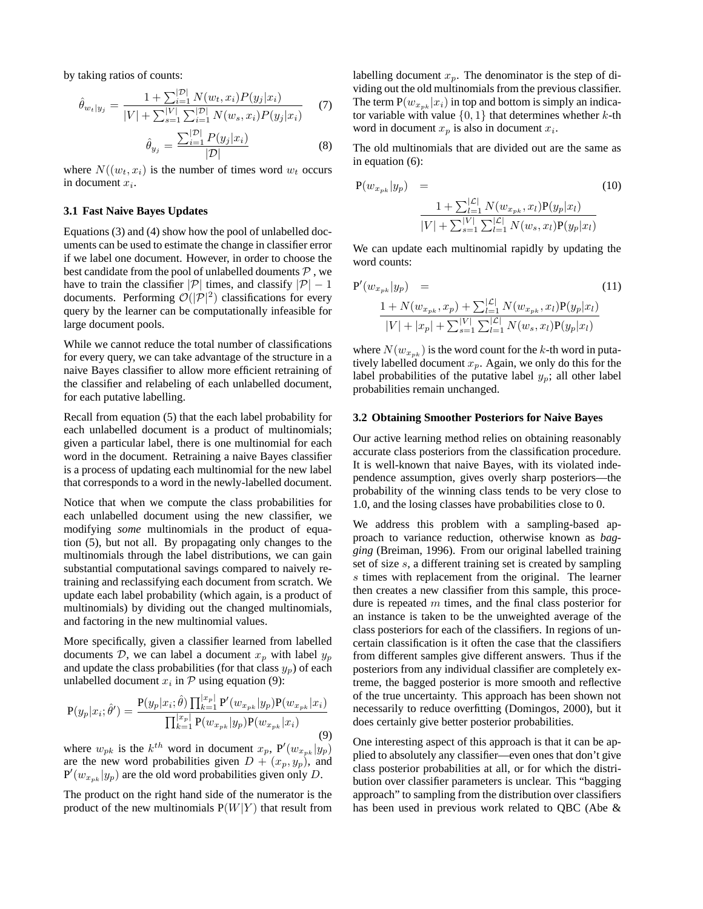by taking ratios of counts:

$$
\hat{\theta}_{w_t|y_j} = \frac{1 + \sum_{i=1}^{|\mathcal{D}|} N(w_t, x_i) P(y_j|x_i)}{|V| + \sum_{s=1}^{|\mathcal{V}|} \sum_{i=1}^{|\mathcal{D}|} N(w_s, x_i) P(y_j|x_i)} \tag{7}
$$
\n
$$
\hat{\theta} = \frac{\sum_{i=1}^{|\mathcal{D}|} P(y_j|x_i)}{\sum_{i=1}^{|\mathcal{D}|} P(y_j|x_i)} \tag{8}
$$

$$
\hat{\theta}_{y_j} = \frac{\sum_{i=1}^{\infty} F(y_j | x_i)}{|\mathcal{D}|} \tag{8}
$$

where  $N((w_t, x_i)$  is the number of times word  $w_t$  occurs in document  $x_i$ .

#### **3.1 Fast Naive Bayes Updates**

Equations (3) and (4) show how the pool of unlabelled documents can be used to estimate the change in classifier error if we label one document. However, in order to choose the best candidate from the pool of unlabelled douments  $P$ , we have to train the classifier  $|\mathcal{P}|$  times, and classify  $|\mathcal{P}| - 1$ documents. Performing  $\mathcal{O}(|\mathcal{P}|^2)$  classifications for every query by the learner can be computationally infeasible for large document pools.

While we cannot reduce the total number of classifications for every query, we can take advantage of the structure in a naive Bayes classifier to allow more efficient retraining of the classifier and relabeling of each unlabelled document, for each putative labelling.

Recall from equation (5) that the each label probability for each unlabelled document is a product of multinomials; given a particular label, there is one multinomial for each word in the document. Retraining a naive Bayes classifier is a process of updating each multinomial for the new label that corresponds to a word in the newly-labelled document.

Notice that when we compute the class probabilities for each unlabelled document using the new classifier, we modifying *some* multinomials in the product of equation (5), but not all. By propagating only changes to the multinomials through the label distributions, we can gain substantial computational savings compared to naively retraining and reclassifying each document from scratch. We update each label probability (which again, is a product of multinomials) by dividing out the changed multinomials, and factoring in the new multinomial values.

More specifically, given a classifier learned from labelled documents  $D$ , we can label a document  $x_p$  with label  $y_p$ and update the class probabilities (for that class  $y_p$ ) of each unlabelled document  $x_i$  in  $P$  using equation (9):

$$
P(y_p|x_i; \hat{\theta}') = \frac{P(y_p|x_i; \hat{\theta}) \prod_{k=1}^{|x_p|} P'(w_{x_{pk}}|y_p) P(w_{x_{pk}}|x_i)}{\prod_{k=1}^{|x_p|} P(w_{x_{pk}}|y_p) P(w_{x_{pk}}|x_i)}
$$
(9)

where  $w_{pk}$  is the  $k^{th}$  word in document  $x_p$ ,  $P'(w_{x_{pk}}|y_p)$ are the new word probabilities given  $D + (x_p, y_p)$ , and  $P'(w_{x_{pk}}|y_p)$  are the old word probabilities given only D.

The product on the right hand side of the numerator is the product of the new multinomials  $P(W|Y)$  that result from labelling document  $x_p$ . The denominator is the step of dividing out the old multinomials from the previous classifier. The term  $P(w_{x_{pk}} | x_i)$  in top and bottom is simply an indicator variable with value  $\{0, 1\}$  that determines whether k-th word in document  $x_p$  is also in document  $x_i$ .

The old multinomials that are divided out are the same as in equation (6):

$$
P(w_{x_{pk}}|y_p) = \n\frac{1 + \sum_{l=1}^{|\mathcal{L}|} N(w_{x_{pk}}, x_l) P(y_p|x_l)}{|V| + \sum_{s=1}^{|\mathcal{L}|} \sum_{l=1}^{|\mathcal{L}|} N(w_s, x_l) P(y_p|x_l)}
$$
\n(10)

We can update each multinomial rapidly by updating the word counts:

$$
P'(w_{x_{pk}}|y_p) = (11)
$$
  

$$
\frac{1 + N(w_{x_{pk}}, x_p) + \sum_{l=1}^{|{\mathcal{L}}|} N(w_{x_{pk}}, x_l)P(y_p|x_l)}{|V| + |x_p| + \sum_{s=1}^{|V|} \sum_{l=1}^{|{\mathcal{L}}|} N(w_s, x_l)P(y_p|x_l)}
$$

where  $N(w_{x_{pk}})$  is the word count for the k-th word in putatively labelled document  $x_p$ . Again, we only do this for the label probabilities of the putative label  $y_p$ ; all other label probabilities remain unchanged.

#### **3.2 Obtaining Smoother Posteriors for Naive Bayes**

Our active learning method relies on obtaining reasonably accurate class posteriors from the classification procedure. It is well-known that naive Bayes, with its violated independence assumption, gives overly sharp posteriors—the probability of the winning class tends to be very close to 1.0, and the losing classes have probabilities close to 0.

We address this problem with a sampling-based approach to variance reduction, otherwise known as *bagging* (Breiman, 1996). From our original labelled training set of size s, a different training set is created by sampling s times with replacement from the original. The learner then creates a new classifier from this sample, this procedure is repeated  $m$  times, and the final class posterior for an instance is taken to be the unweighted average of the class posteriors for each of the classifiers. In regions of uncertain classification is it often the case that the classifiers from different samples give different answers. Thus if the posteriors from any individual classifier are completely extreme, the bagged posterior is more smooth and reflective of the true uncertainty. This approach has been shown not necessarily to reduce overfitting (Domingos, 2000), but it does certainly give better posterior probabilities.

One interesting aspect of this approach is that it can be applied to absolutely any classifier—even ones that don't give class posterior probabilities at all, or for which the distribution over classifier parameters is unclear. This "bagging approach" to sampling from the distribution over classifiers has been used in previous work related to QBC (Abe &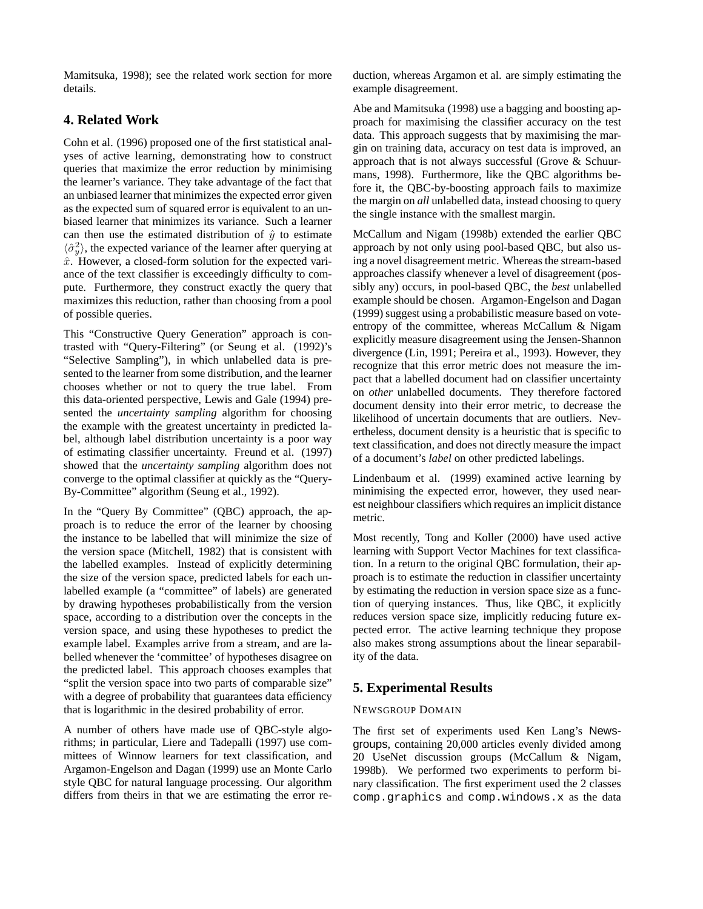Mamitsuka, 1998); see the related work section for more details.

# **4. Related Work**

Cohn et al. (1996) proposed one of the first statistical analyses of active learning, demonstrating how to construct queries that maximize the error reduction by minimising the learner's variance. They take advantage of the fact that an unbiased learner that minimizes the expected error given as the expected sum of squared error is equivalent to an unbiased learner that minimizes its variance. Such a learner can then use the estimated distribution of  $\hat{y}$  to estimate  $\langle \hat{\sigma}_y^2 \rangle$ , the expected variance of the learner after querying at  $\hat{x}$ . However, a closed-form solution for the expected variance of the text classifier is exceedingly difficulty to compute. Furthermore, they construct exactly the query that maximizes this reduction, rather than choosing from a pool of possible queries.

This "Constructive Query Generation" approach is contrasted with "Query-Filtering" (or Seung et al. (1992)'s "Selective Sampling"), in which unlabelled data is presented to the learner from some distribution, and the learner chooses whether or not to query the true label. From this data-oriented perspective, Lewis and Gale (1994) presented the *uncertainty sampling* algorithm for choosing the example with the greatest uncertainty in predicted label, although label distribution uncertainty is a poor way of estimating classifier uncertainty. Freund et al. (1997) showed that the *uncertainty sampling* algorithm does not converge to the optimal classifier at quickly as the "Query-By-Committee" algorithm (Seung et al., 1992).

In the "Query By Committee" (QBC) approach, the approach is to reduce the error of the learner by choosing the instance to be labelled that will minimize the size of the version space (Mitchell, 1982) that is consistent with the labelled examples. Instead of explicitly determining the size of the version space, predicted labels for each unlabelled example (a "committee" of labels) are generated by drawing hypotheses probabilistically from the version space, according to a distribution over the concepts in the version space, and using these hypotheses to predict the example label. Examples arrive from a stream, and are labelled whenever the 'committee' of hypotheses disagree on the predicted label. This approach chooses examples that "split the version space into two parts of comparable size" with a degree of probability that guarantees data efficiency that is logarithmic in the desired probability of error.

A number of others have made use of QBC-style algorithms; in particular, Liere and Tadepalli (1997) use committees of Winnow learners for text classification, and Argamon-Engelson and Dagan (1999) use an Monte Carlo style QBC for natural language processing. Our algorithm differs from theirs in that we are estimating the error reduction, whereas Argamon et al. are simply estimating the example disagreement.

Abe and Mamitsuka (1998) use a bagging and boosting approach for maximising the classifier accuracy on the test data. This approach suggests that by maximising the margin on training data, accuracy on test data is improved, an approach that is not always successful (Grove & Schuurmans, 1998). Furthermore, like the QBC algorithms before it, the QBC-by-boosting approach fails to maximize the margin on *all* unlabelled data, instead choosing to query the single instance with the smallest margin.

McCallum and Nigam (1998b) extended the earlier QBC approach by not only using pool-based QBC, but also using a novel disagreement metric. Whereas the stream-based approaches classify whenever a level of disagreement (possibly any) occurs, in pool-based QBC, the *best* unlabelled example should be chosen. Argamon-Engelson and Dagan (1999) suggest using a probabilistic measure based on voteentropy of the committee, whereas McCallum & Nigam explicitly measure disagreement using the Jensen-Shannon divergence (Lin, 1991; Pereira et al., 1993). However, they recognize that this error metric does not measure the impact that a labelled document had on classifier uncertainty on *other* unlabelled documents. They therefore factored document density into their error metric, to decrease the likelihood of uncertain documents that are outliers. Nevertheless, document density is a heuristic that is specific to text classification, and does not directly measure the impact of a document's *label* on other predicted labelings.

Lindenbaum et al. (1999) examined active learning by minimising the expected error, however, they used nearest neighbour classifiers which requires an implicit distance metric.

Most recently, Tong and Koller (2000) have used active learning with Support Vector Machines for text classification. In a return to the original QBC formulation, their approach is to estimate the reduction in classifier uncertainty by estimating the reduction in version space size as a function of querying instances. Thus, like QBC, it explicitly reduces version space size, implicitly reducing future expected error. The active learning technique they propose also makes strong assumptions about the linear separability of the data.

# **5. Experimental Results**

### NEWSGROUP DOMAIN

The first set of experiments used Ken Lang's Newsgroups, containing 20,000 articles evenly divided among 20 UseNet discussion groups (McCallum & Nigam, 1998b). We performed two experiments to perform binary classification. The first experiment used the 2 classes comp.graphics and comp.windows.x as the data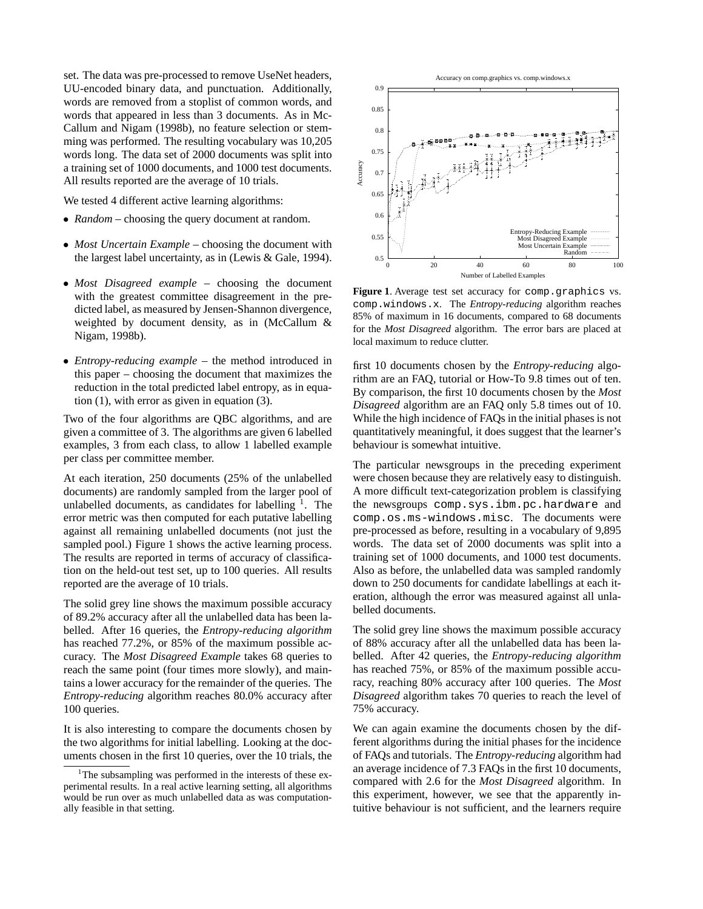set. The data was pre-processed to remove UseNet headers, UU-encoded binary data, and punctuation. Additionally, words are removed from a stoplist of common words, and words that appeared in less than 3 documents. As in Mc-Callum and Nigam (1998b), no feature selection or stemming was performed. The resulting vocabulary was 10,205 words long. The data set of 2000 documents was split into a training set of 1000 documents, and 1000 test documents. All results reported are the average of 10 trials.

We tested 4 different active learning algorithms:

- *Random* choosing the query document at random.
- *Most Uncertain Example* choosing the document with the largest label uncertainty, as in (Lewis & Gale, 1994).
- *Most Disagreed example* choosing the document with the greatest committee disagreement in the predicted label, as measured by Jensen-Shannon divergence, weighted by document density, as in (McCallum & Nigam, 1998b).
- *Entropy-reducing example* the method introduced in this paper – choosing the document that maximizes the reduction in the total predicted label entropy, as in equation (1), with error as given in equation (3).

Two of the four algorithms are QBC algorithms, and are given a committee of 3. The algorithms are given 6 labelled examples, 3 from each class, to allow 1 labelled example per class per committee member.

At each iteration, 250 documents (25% of the unlabelled documents) are randomly sampled from the larger pool of unlabelled documents, as candidates for labelling  $<sup>1</sup>$ . The</sup> error metric was then computed for each putative labelling against all remaining unlabelled documents (not just the sampled pool.) Figure 1 shows the active learning process. The results are reported in terms of accuracy of classification on the held-out test set, up to 100 queries. All results reported are the average of 10 trials.

The solid grey line shows the maximum possible accuracy of 89.2% accuracy after all the unlabelled data has been labelled. After 16 queries, the *Entropy-reducing algorithm* has reached 77.2%, or 85% of the maximum possible accuracy. The *Most Disagreed Example* takes 68 queries to reach the same point (four times more slowly), and maintains a lower accuracy for the remainder of the queries. The *Entropy-reducing* algorithm reaches 80.0% accuracy after 100 queries.

It is also interesting to compare the documents chosen by the two algorithms for initial labelling. Looking at the documents chosen in the first 10 queries, over the 10 trials, the



**Figure 1**. Average test set accuracy for comp.graphics vs. comp.windows.x. The *Entropy-reducing* algorithm reaches 85% of maximum in 16 documents, compared to 68 documents for the *Most Disagreed* algorithm. The error bars are placed at local maximum to reduce clutter.

first 10 documents chosen by the *Entropy-reducing* algorithm are an FAQ, tutorial or How-To 9.8 times out of ten. By comparison, the first 10 documents chosen by the *Most Disagreed* algorithm are an FAQ only 5.8 times out of 10. While the high incidence of FAQs in the initial phases is not quantitatively meaningful, it does suggest that the learner's behaviour is somewhat intuitive.

The particular newsgroups in the preceding experiment were chosen because they are relatively easy to distinguish. A more difficult text-categorization problem is classifying the newsgroups comp.sys.ibm.pc.hardware and comp.os.ms-windows.misc. The documents were pre-processed as before, resulting in a vocabulary of 9,895 words. The data set of 2000 documents was split into a training set of 1000 documents, and 1000 test documents. Also as before, the unlabelled data was sampled randomly down to 250 documents for candidate labellings at each iteration, although the error was measured against all unlabelled documents.

The solid grey line shows the maximum possible accuracy of 88% accuracy after all the unlabelled data has been labelled. After 42 queries, the *Entropy-reducing algorithm* has reached 75%, or 85% of the maximum possible accuracy, reaching 80% accuracy after 100 queries. The *Most Disagreed* algorithm takes 70 queries to reach the level of 75% accuracy.

We can again examine the documents chosen by the different algorithms during the initial phases for the incidence of FAQs and tutorials. The *Entropy-reducing* algorithm had an average incidence of 7.3 FAQs in the first 10 documents, compared with 2.6 for the *Most Disagreed* algorithm. In this experiment, however, we see that the apparently intuitive behaviour is not sufficient, and the learners require

<sup>&</sup>lt;sup>1</sup>The subsampling was performed in the interests of these experimental results. In a real active learning setting, all algorithms would be run over as much unlabelled data as was computationally feasible in that setting.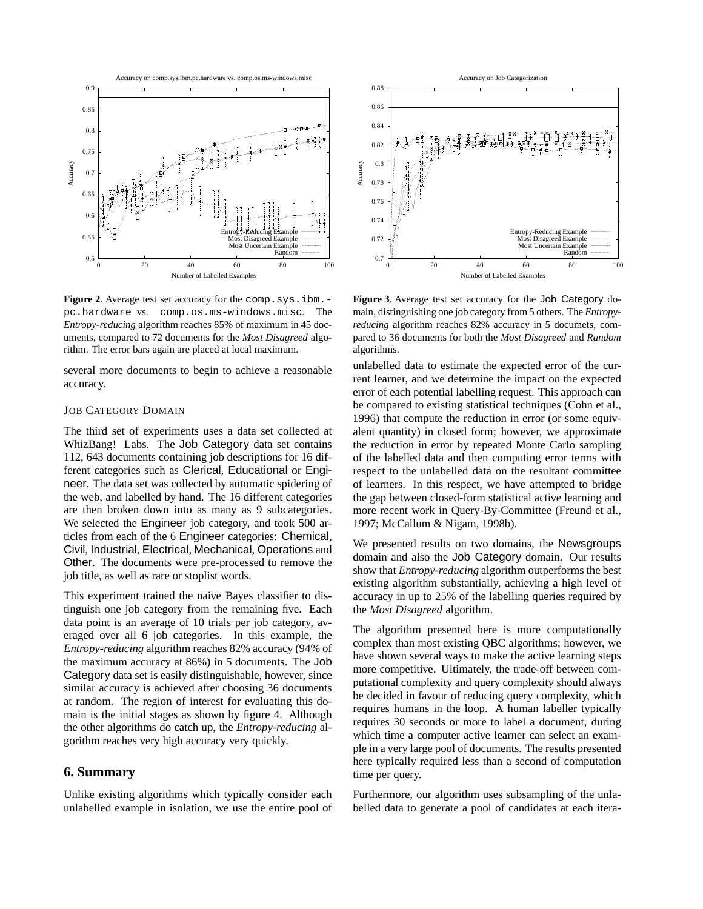

**Figure 2.** Average test set accuracy for the comp.sys.ibm.pc.hardware vs. comp.os.ms-windows.misc. The *Entropy-reducing* algorithm reaches 85% of maximum in 45 documents, compared to 72 documents for the *Most Disagreed* algorithm. The error bars again are placed at local maximum.

several more documents to begin to achieve a reasonable accuracy.

### JOB CATEGORY DOMAIN

The third set of experiments uses a data set collected at WhizBang! Labs. The Job Category data set contains 112, 643 documents containing job descriptions for 16 different categories such as Clerical, Educational or Engineer. The data set was collected by automatic spidering of the web, and labelled by hand. The 16 different categories are then broken down into as many as 9 subcategories. We selected the Engineer job category, and took 500 articles from each of the 6 Engineer categories: Chemical, Civil, Industrial, Electrical, Mechanical, Operations and Other. The documents were pre-processed to remove the job title, as well as rare or stoplist words.

This experiment trained the naive Bayes classifier to distinguish one job category from the remaining five. Each data point is an average of 10 trials per job category, averaged over all 6 job categories. In this example, the *Entropy-reducing* algorithm reaches 82% accuracy (94% of the maximum accuracy at 86%) in 5 documents. The Job Category data set is easily distinguishable, however, since similar accuracy is achieved after choosing 36 documents at random. The region of interest for evaluating this domain is the initial stages as shown by figure 4. Although the other algorithms do catch up, the *Entropy-reducing* algorithm reaches very high accuracy very quickly.

### **6. Summary**

Unlike existing algorithms which typically consider each unlabelled example in isolation, we use the entire pool of



**Figure 3**. Average test set accuracy for the Job Category domain, distinguishing one job category from 5 others. The *Entropyreducing* algorithm reaches 82% accuracy in 5 documets, compared to 36 documents for both the *Most Disagreed* and *Random* algorithms.

unlabelled data to estimate the expected error of the current learner, and we determine the impact on the expected error of each potential labelling request. This approach can be compared to existing statistical techniques (Cohn et al., 1996) that compute the reduction in error (or some equivalent quantity) in closed form; however, we approximate the reduction in error by repeated Monte Carlo sampling of the labelled data and then computing error terms with respect to the unlabelled data on the resultant committee of learners. In this respect, we have attempted to bridge the gap between closed-form statistical active learning and more recent work in Query-By-Committee (Freund et al., 1997; McCallum & Nigam, 1998b).

We presented results on two domains, the Newsgroups domain and also the Job Category domain. Our results show that *Entropy-reducing* algorithm outperforms the best existing algorithm substantially, achieving a high level of accuracy in up to 25% of the labelling queries required by the *Most Disagreed* algorithm.

The algorithm presented here is more computationally complex than most existing QBC algorithms; however, we have shown several ways to make the active learning steps more competitive. Ultimately, the trade-off between computational complexity and query complexity should always be decided in favour of reducing query complexity, which requires humans in the loop. A human labeller typically requires 30 seconds or more to label a document, during which time a computer active learner can select an example in a very large pool of documents. The results presented here typically required less than a second of computation time per query.

Furthermore, our algorithm uses subsampling of the unlabelled data to generate a pool of candidates at each itera-